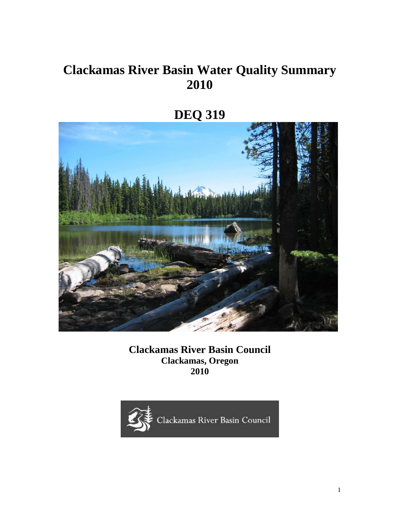# **Clackamas River Basin Water Quality Summary 2010**



**Clackamas River Basin Council Clackamas, Oregon 2010** 



1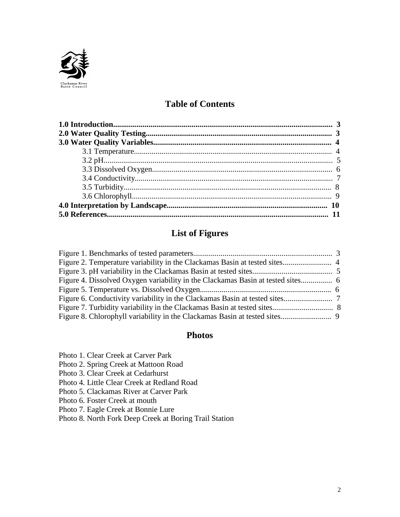

# **Table of Contents**

# **List of Figures**

# **Photos**

Photo 1. Clear Creek at Carver Park

Photo 2. Spring Creek at Mattoon Road

Photo 3. Clear Creek at Cedarhurst

Photo 4. Little Clear Creek at Redland Road

Photo 5. Clackamas River at Carver Park

Photo 6. Foster Creek at mouth

Photo 7. Eagle Creek at Bonnie Lure

Photo 8. North Fork Deep Creek at Boring Trail Station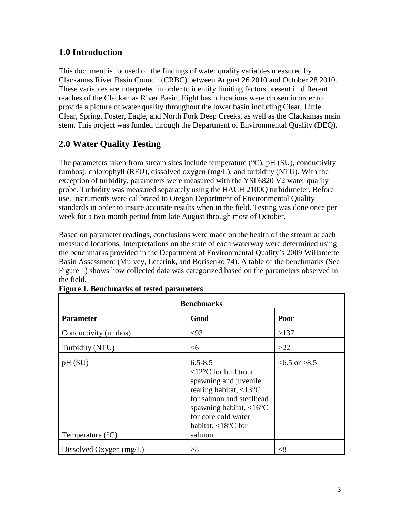# **1.0 Introduction**

This document is focused on the findings of water quality variables measured by Clackamas River Basin Council (CRBC) between August 26 2010 and October 28 2010. These variables are interpreted in order to identify limiting factors present in different reaches of the Clackamas River Basin. Eight basin locations were chosen in order to provide a picture of water quality throughout the lower basin including Clear, Little Clear, Spring, Foster, Eagle, and North Fork Deep Creeks, as well as the Clackamas main stem. This project was funded through the Department of Environmental Quality (DEQ).

# **2.0 Water Quality Testing**

The parameters taken from stream sites include temperature  $({}^{\circ}C)$ , pH (SU), conductivity (umhos), chlorophyll (RFU), dissolved oxygen (mg/L), and turbidity (NTU). With the exception of turbidity, parameters were measured with the YSI 6820 V2 water quality probe. Turbidity was measured separately using the HACH 2100Q turbidimeter. Before use, instruments were calibrated to Oregon Department of Environmental Quality standards in order to insure accurate results when in the field. Testing was done once per week for a two month period from late August through most of October.

Based on parameter readings, conclusions were made on the health of the stream at each measured locations. Interpretations on the state of each waterway were determined using the benchmarks provided in the Department of Environmental Quality's 2009 Willamette Basin Assessment (Mulvey, Leferink, and Borisenko 74). A table of the benchmarks (See Figure 1) shows how collected data was categorized based on the parameters observed in the field.

| <b>Benchmarks</b>         |                                                                                                                                                                                                                                                   |                  |  |  |  |  |  |
|---------------------------|---------------------------------------------------------------------------------------------------------------------------------------------------------------------------------------------------------------------------------------------------|------------------|--|--|--|--|--|
| <b>Parameter</b>          | Good                                                                                                                                                                                                                                              | Poor             |  |  |  |  |  |
| Conductivity (umhos)      | <93                                                                                                                                                                                                                                               | >137             |  |  |  |  |  |
| Turbidity (NTU)           | <6                                                                                                                                                                                                                                                | >22              |  |  |  |  |  |
| pH(SU)                    | $6.5 - 8.5$                                                                                                                                                                                                                                       | $<6.5$ or $>8.5$ |  |  |  |  |  |
| Temperature $(^{\circ}C)$ | $12^{\circ}$ C for bull trout<br>spawning and juvenile<br>rearing habitat, $\langle 13^{\circ}$ C<br>for salmon and steelhead<br>spawning habitat, $\langle 16^{\circ}$ C<br>for core cold water<br>habitat, $\langle 18^{\circ}$ C for<br>salmon |                  |  |  |  |  |  |
| Dissolved Oxygen (mg/L)   | >8                                                                                                                                                                                                                                                | $<$ 8            |  |  |  |  |  |

|  |  |  | <b>Figure 1. Benchmarks of tested parameters</b> |
|--|--|--|--------------------------------------------------|
|  |  |  |                                                  |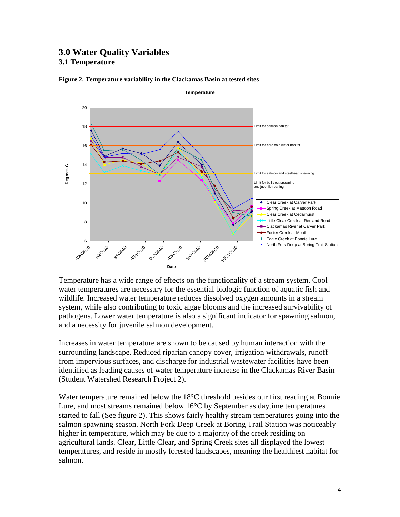### **3.0 Water Quality Variables 3.1 Temperature**



#### **Figure 2. Temperature variability in the Clackamas Basin at tested sites**

Temperature has a wide range of effects on the functionality of a stream system. Cool water temperatures are necessary for the essential biologic function of aquatic fish and wildlife. Increased water temperature reduces dissolved oxygen amounts in a stream system, while also contributing to toxic algae blooms and the increased survivability of pathogens. Lower water temperature is also a significant indicator for spawning salmon, and a necessity for juvenile salmon development.

Increases in water temperature are shown to be caused by human interaction with the surrounding landscape. Reduced riparian canopy cover, irrigation withdrawals, runoff from impervious surfaces, and discharge for industrial wastewater facilities have been identified as leading causes of water temperature increase in the Clackamas River Basin (Student Watershed Research Project 2).

Water temperature remained below the 18<sup>o</sup>C threshold besides our first reading at Bonnie Lure, and most streams remained below 16°C by September as daytime temperatures started to fall (See figure 2). This shows fairly healthy stream temperatures going into the salmon spawning season. North Fork Deep Creek at Boring Trail Station was noticeably higher in temperature, which may be due to a majority of the creek residing on agricultural lands. Clear, Little Clear, and Spring Creek sites all displayed the lowest temperatures, and reside in mostly forested landscapes, meaning the healthiest habitat for salmon.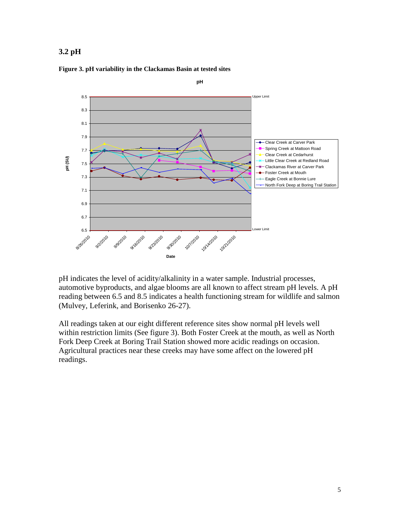### **3.2 pH**



#### **Figure 3. pH variability in the Clackamas Basin at tested sites**

pH indicates the level of acidity/alkalinity in a water sample. Industrial processes, automotive byproducts, and algae blooms are all known to affect stream pH levels. A pH reading between 6.5 and 8.5 indicates a health functioning stream for wildlife and salmon (Mulvey, Leferink, and Borisenko 26-27).

All readings taken at our eight different reference sites show normal pH levels well within restriction limits (See figure 3). Both Foster Creek at the mouth, as well as North Fork Deep Creek at Boring Trail Station showed more acidic readings on occasion. Agricultural practices near these creeks may have some affect on the lowered pH readings.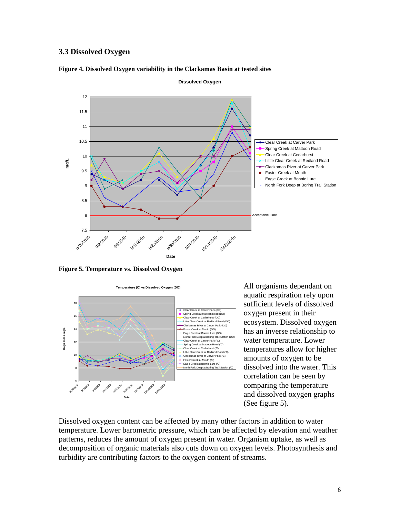### **3.3 Dissolved Oxygen**



#### **Figure 4. Dissolved Oxygen variability in the Clackamas Basin at tested sites**

**Figure 5. Temperature vs. Dissolved Oxygen**



All organisms dependant on aquatic respiration rely upon sufficient levels of dissolved oxygen present in their ecosystem. Dissolved oxygen has an inverse relationship to water temperature. Lower temperatures allow for higher amounts of oxygen to be dissolved into the water. This correlation can be seen by comparing the temperature and dissolved oxygen graphs (See figure 5).

Dissolved oxygen content can be affected by many other factors in addition to water temperature. Lower barometric pressure, which can be affected by elevation and weather patterns, reduces the amount of oxygen present in water. Organism uptake, as well as decomposition of organic materials also cuts down on oxygen levels. Photosynthesis and turbidity are contributing factors to the oxygen content of streams.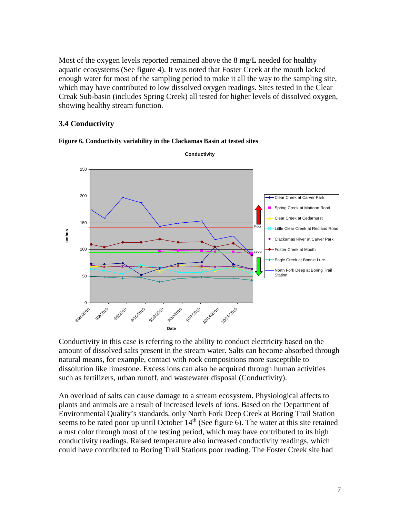Most of the oxygen levels reported remained above the 8 mg/L needed for healthy aquatic ecosystems (See figure 4). It was noted that Foster Creek at the mouth lacked enough water for most of the sampling period to make it all the way to the sampling site, which may have contributed to low dissolved oxygen readings. Sites tested in the Clear Creak Sub-basin (includes Spring Creek) all tested for higher levels of dissolved oxygen, showing healthy stream function.

### **3.4 Conductivity**



**Figure 6. Conductivity variability in the Clackamas Basin at tested sites** 

Conductivity in this case is referring to the ability to conduct electricity based on the amount of dissolved salts present in the stream water. Salts can become absorbed through natural means, for example, contact with rock compositions more susceptible to dissolution like limestone. Excess ions can also be acquired through human activities such as fertilizers, urban runoff, and wastewater disposal (Conductivity).

An overload of salts can cause damage to a stream ecosystem. Physiological affects to plants and animals are a result of increased levels of ions. Based on the Department of Environmental Quality's standards, only North Fork Deep Creek at Boring Trail Station seems to be rated poor up until October  $14<sup>th</sup>$  (See figure 6). The water at this site retained a rust color through most of the testing period, which may have contributed to its high conductivity readings. Raised temperature also increased conductivity readings, which could have contributed to Boring Trail Stations poor reading. The Foster Creek site had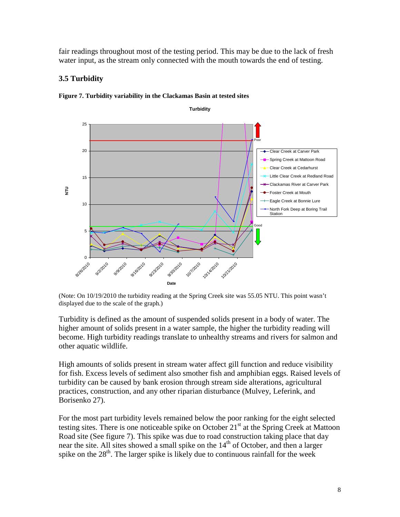fair readings throughout most of the testing period. This may be due to the lack of fresh water input, as the stream only connected with the mouth towards the end of testing.

### **3.5 Turbidity**



**Figure 7. Turbidity variability in the Clackamas Basin at tested sites** 

(Note: On 10/19/2010 the turbidity reading at the Spring Creek site was 55.05 NTU. This point wasn't displayed due to the scale of the graph.)

Turbidity is defined as the amount of suspended solids present in a body of water. The higher amount of solids present in a water sample, the higher the turbidity reading will become. High turbidity readings translate to unhealthy streams and rivers for salmon and other aquatic wildlife.

High amounts of solids present in stream water affect gill function and reduce visibility for fish. Excess levels of sediment also smother fish and amphibian eggs. Raised levels of turbidity can be caused by bank erosion through stream side alterations, agricultural practices, construction, and any other riparian disturbance (Mulvey, Leferink, and Borisenko 27).

For the most part turbidity levels remained below the poor ranking for the eight selected testing sites. There is one noticeable spike on October  $21<sup>st</sup>$  at the Spring Creek at Mattoon Road site (See figure 7). This spike was due to road construction taking place that day near the site. All sites showed a small spike on the  $14<sup>th</sup>$  of October, and then a larger spike on the  $28<sup>th</sup>$ . The larger spike is likely due to continuous rainfall for the week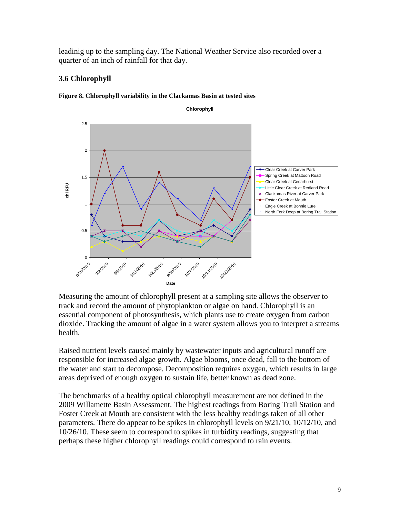leadinig up to the sampling day. The National Weather Service also recorded over a quarter of an inch of rainfall for that day.

### **3.6 Chlorophyll**



**Chlorophyll**



Measuring the amount of chlorophyll present at a sampling site allows the observer to track and record the amount of phytoplankton or algae on hand. Chlorophyll is an essential component of photosynthesis, which plants use to create oxygen from carbon dioxide. Tracking the amount of algae in a water system allows you to interpret a streams health.

Raised nutrient levels caused mainly by wastewater inputs and agricultural runoff are responsible for increased algae growth. Algae blooms, once dead, fall to the bottom of the water and start to decompose. Decomposition requires oxygen, which results in large areas deprived of enough oxygen to sustain life, better known as dead zone.

The benchmarks of a healthy optical chlorophyll measurement are not defined in the 2009 Willamette Basin Assessment. The highest readings from Boring Trail Station and Foster Creek at Mouth are consistent with the less healthy readings taken of all other parameters. There do appear to be spikes in chlorophyll levels on 9/21/10, 10/12/10, and 10/26/10. These seem to correspond to spikes in turbidity readings, suggesting that perhaps these higher chlorophyll readings could correspond to rain events.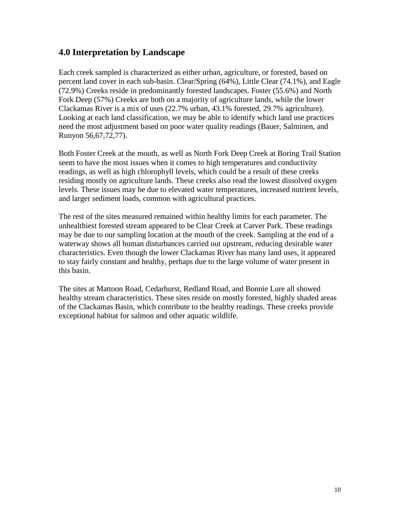### **4.0 Interpretation by Landscape**

Each creek sampled is characterized as either urban, agriculture, or forested, based on percent land cover in each sub-basin. Clear/Spring (64%), Little Clear (74.1%), and Eagle (72.9%) Creeks reside in predominantly forested landscapes. Foster (55.6%) and North Fork Deep (57%) Creeks are both on a majority of agriculture lands, while the lower Clackamas River is a mix of uses (22.7% urban, 43.1% forested, 29.7% agriculture). Looking at each land classification, we may be able to identify which land use practices need the most adjustment based on poor water quality readings (Bauer, Salminen, and Runyon 56,67,72,77).

Both Foster Creek at the mouth, as well as North Fork Deep Creek at Boring Trail Station seem to have the most issues when it comes to high temperatures and conductivity readings, as well as high chlorophyll levels, which could be a result of these creeks residing mostly on agriculture lands. These creeks also read the lowest dissolved oxygen levels. These issues may be due to elevated water temperatures, increased nutrient levels, and larger sediment loads, common with agricultural practices.

The rest of the sites measured remained within healthy limits for each parameter. The unhealthiest forested stream appeared to be Clear Creek at Carver Park. These readings may be due to our sampling location at the mouth of the creek. Sampling at the end of a waterway shows all human disturbances carried out upstream, reducing desirable water characteristics. Even though the lower Clackamas River has many land uses, it appeared to stay fairly constant and healthy, perhaps due to the large volume of water present in this basin.

The sites at Mattoon Road, Cedarhurst, Redland Road, and Bonnie Lure all showed healthy stream characteristics. These sites reside on mostly forested, highly shaded areas of the Clackamas Basin, which contribute to the healthy readings. These creeks provide exceptional habitat for salmon and other aquatic wildlife.